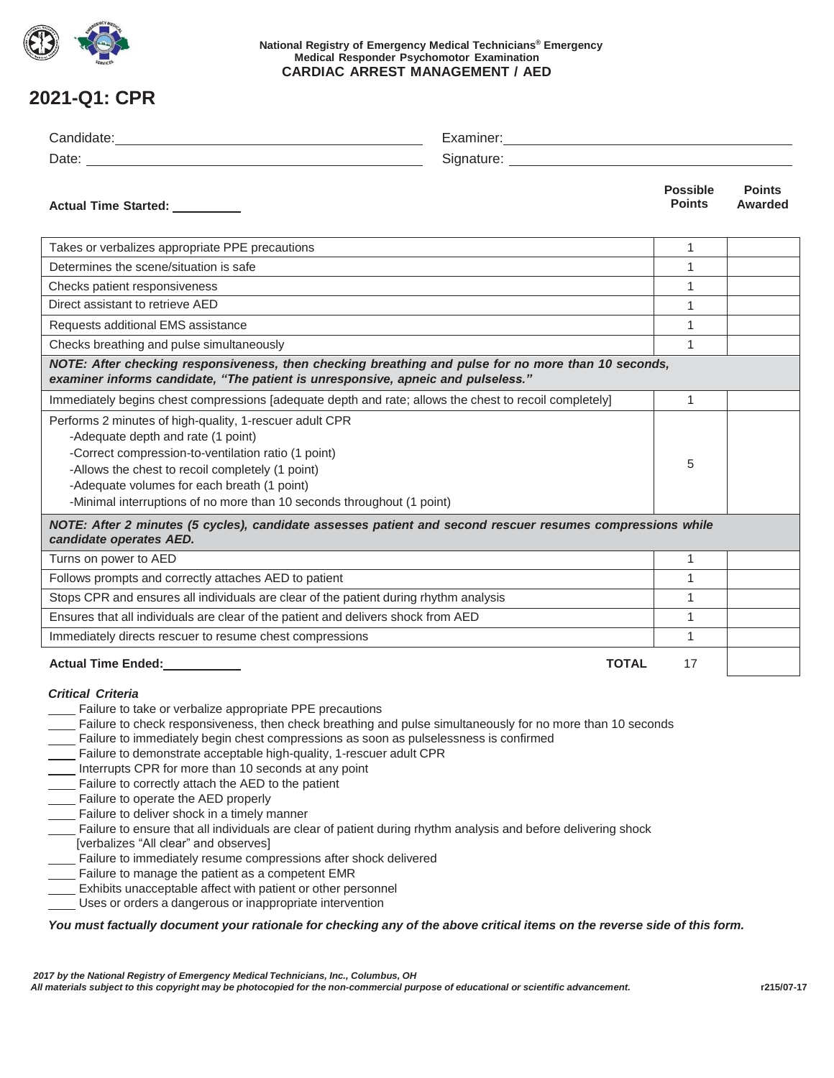

### **National Registry of Emergency Medical Technicians® Emergency Medical Responder Psychomotor Examination CARDIAC ARREST MANAGEMENT / AED**

## **2021-Q1: CPR**

| Actual Time Started: _________                                                                                                                                                                                                                                                                                                                                                                                                                                                                                                                                                                                                                                                                                                                                                                                                                                                                                                                                                                                                                                                                                         | <b>Possible</b><br><b>Points</b>                                                                                                                                                        | <b>Points</b><br>Awarded |  |  |  |
|------------------------------------------------------------------------------------------------------------------------------------------------------------------------------------------------------------------------------------------------------------------------------------------------------------------------------------------------------------------------------------------------------------------------------------------------------------------------------------------------------------------------------------------------------------------------------------------------------------------------------------------------------------------------------------------------------------------------------------------------------------------------------------------------------------------------------------------------------------------------------------------------------------------------------------------------------------------------------------------------------------------------------------------------------------------------------------------------------------------------|-----------------------------------------------------------------------------------------------------------------------------------------------------------------------------------------|--------------------------|--|--|--|
| Takes or verbalizes appropriate PPE precautions                                                                                                                                                                                                                                                                                                                                                                                                                                                                                                                                                                                                                                                                                                                                                                                                                                                                                                                                                                                                                                                                        | $\mathbf{1}$                                                                                                                                                                            |                          |  |  |  |
| Determines the scene/situation is safe                                                                                                                                                                                                                                                                                                                                                                                                                                                                                                                                                                                                                                                                                                                                                                                                                                                                                                                                                                                                                                                                                 | $\mathbf{1}$                                                                                                                                                                            |                          |  |  |  |
| Checks patient responsiveness                                                                                                                                                                                                                                                                                                                                                                                                                                                                                                                                                                                                                                                                                                                                                                                                                                                                                                                                                                                                                                                                                          | 1                                                                                                                                                                                       |                          |  |  |  |
| Direct assistant to retrieve AED                                                                                                                                                                                                                                                                                                                                                                                                                                                                                                                                                                                                                                                                                                                                                                                                                                                                                                                                                                                                                                                                                       | 1                                                                                                                                                                                       |                          |  |  |  |
| Requests additional EMS assistance                                                                                                                                                                                                                                                                                                                                                                                                                                                                                                                                                                                                                                                                                                                                                                                                                                                                                                                                                                                                                                                                                     | $\mathbf{1}$                                                                                                                                                                            |                          |  |  |  |
| Checks breathing and pulse simultaneously                                                                                                                                                                                                                                                                                                                                                                                                                                                                                                                                                                                                                                                                                                                                                                                                                                                                                                                                                                                                                                                                              |                                                                                                                                                                                         |                          |  |  |  |
|                                                                                                                                                                                                                                                                                                                                                                                                                                                                                                                                                                                                                                                                                                                                                                                                                                                                                                                                                                                                                                                                                                                        | NOTE: After checking responsiveness, then checking breathing and pulse for no more than 10 seconds,<br>examiner informs candidate, "The patient is unresponsive, apneic and pulseless." |                          |  |  |  |
| Immediately begins chest compressions [adequate depth and rate; allows the chest to recoil completely]                                                                                                                                                                                                                                                                                                                                                                                                                                                                                                                                                                                                                                                                                                                                                                                                                                                                                                                                                                                                                 | 1                                                                                                                                                                                       |                          |  |  |  |
| Performs 2 minutes of high-quality, 1-rescuer adult CPR<br>-Adequate depth and rate (1 point)<br>-Correct compression-to-ventilation ratio (1 point)<br>-Allows the chest to recoil completely (1 point)<br>-Adequate volumes for each breath (1 point)<br>-Minimal interruptions of no more than 10 seconds throughout (1 point)                                                                                                                                                                                                                                                                                                                                                                                                                                                                                                                                                                                                                                                                                                                                                                                      | 5                                                                                                                                                                                       |                          |  |  |  |
| NOTE: After 2 minutes (5 cycles), candidate assesses patient and second rescuer resumes compressions while<br>candidate operates AED.                                                                                                                                                                                                                                                                                                                                                                                                                                                                                                                                                                                                                                                                                                                                                                                                                                                                                                                                                                                  |                                                                                                                                                                                         |                          |  |  |  |
| Turns on power to AED                                                                                                                                                                                                                                                                                                                                                                                                                                                                                                                                                                                                                                                                                                                                                                                                                                                                                                                                                                                                                                                                                                  | $\mathbf{1}$                                                                                                                                                                            |                          |  |  |  |
| Follows prompts and correctly attaches AED to patient                                                                                                                                                                                                                                                                                                                                                                                                                                                                                                                                                                                                                                                                                                                                                                                                                                                                                                                                                                                                                                                                  | $\mathbf{1}$                                                                                                                                                                            |                          |  |  |  |
| Stops CPR and ensures all individuals are clear of the patient during rhythm analysis                                                                                                                                                                                                                                                                                                                                                                                                                                                                                                                                                                                                                                                                                                                                                                                                                                                                                                                                                                                                                                  | 1                                                                                                                                                                                       |                          |  |  |  |
| Ensures that all individuals are clear of the patient and delivers shock from AED                                                                                                                                                                                                                                                                                                                                                                                                                                                                                                                                                                                                                                                                                                                                                                                                                                                                                                                                                                                                                                      |                                                                                                                                                                                         |                          |  |  |  |
| Immediately directs rescuer to resume chest compressions                                                                                                                                                                                                                                                                                                                                                                                                                                                                                                                                                                                                                                                                                                                                                                                                                                                                                                                                                                                                                                                               | 1                                                                                                                                                                                       |                          |  |  |  |
| Actual Time Ended:<br><u>Letteral</u>                                                                                                                                                                                                                                                                                                                                                                                                                                                                                                                                                                                                                                                                                                                                                                                                                                                                                                                                                                                                                                                                                  | <b>TOTAL</b><br>17                                                                                                                                                                      |                          |  |  |  |
| <b>Critical Criteria</b><br>Failure to take or verbalize appropriate PPE precautions<br>Failure to check responsiveness, then check breathing and pulse simultaneously for no more than 10 seconds<br>Failure to immediately begin chest compressions as soon as pulselessness is confirmed<br>Failure to demonstrate acceptable high-quality, 1-rescuer adult CPR<br>Interrupts CPR for more than 10 seconds at any point<br>Failure to correctly attach the AED to the patient<br>___ Failure to operate the AED properly<br>Failure to deliver shock in a timely manner<br>Failure to ensure that all individuals are clear of patient during rhythm analysis and before delivering shock<br>[verbalizes "All clear" and observes]<br>Failure to immediately resume compressions after shock delivered<br>Failure to manage the patient as a competent EMR<br>Exhibits unacceptable affect with patient or other personnel<br>Uses or orders a dangerous or inappropriate intervention<br>You must factually document your rationale for checking any of the above critical items on the reverse side of this form. |                                                                                                                                                                                         |                          |  |  |  |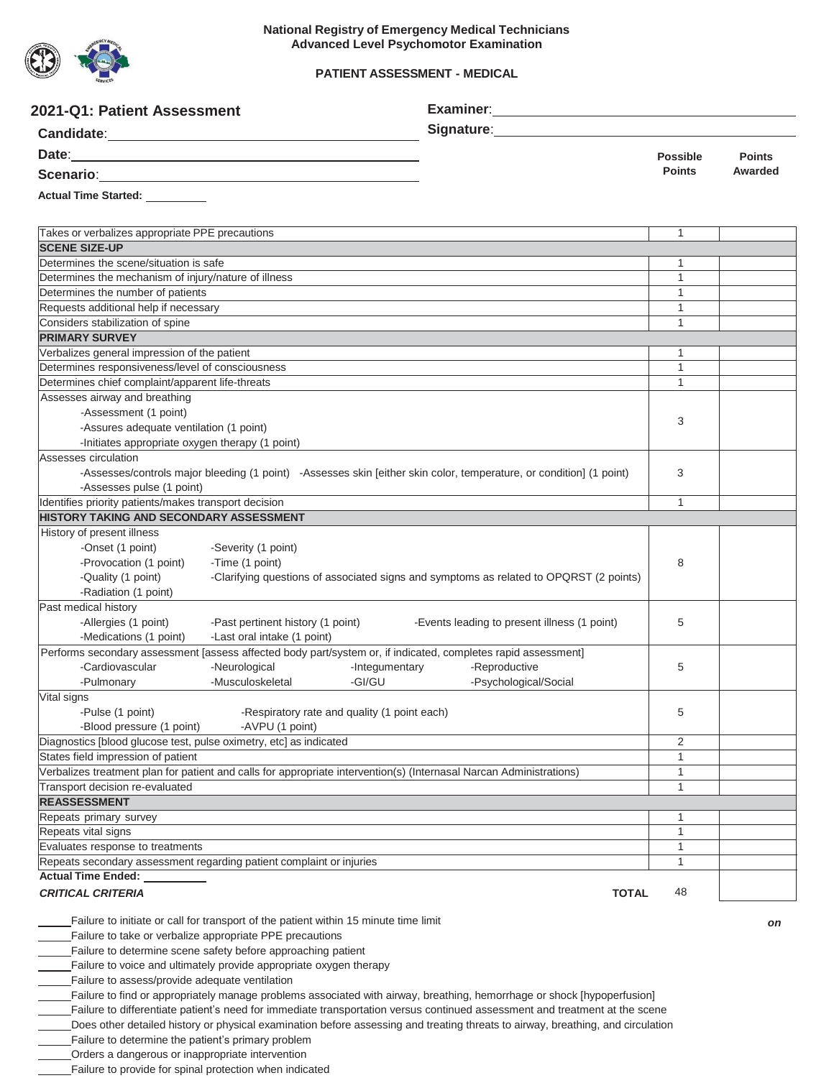

### **PATIENT ASSESSMENT - MEDICAL**

| Signature: Management Contract Contract Contract Contract Contract Contract Contract Contract Contract Contract Contract Contract Contract Contract Contract Contract Contract Contract Contract Contract Contract Contract Co<br><b>Candidate:</b><br><u> 1989 - Johann Stoff, deutscher Stoffen und der Stoffen und der Stoffen und der Stoffen und der Stoffen und der</u><br><b>Possible</b><br><b>Points</b><br><b>Points</b><br>Awarded<br>Scenario: <u>Cambridge Communication</u><br>Takes or verbalizes appropriate PPE precautions<br>$\mathbf{1}$<br><b>SCENE SIZE-UP</b><br>Determines the scene/situation is safe<br>1<br>$\mathbf{1}$<br>Determines the mechanism of injury/nature of illness<br>Determines the number of patients<br>$\mathbf{1}$<br>Requests additional help if necessary<br>$\mathbf{1}$<br>Considers stabilization of spine<br>$\mathbf{1}$<br><b>PRIMARY SURVEY</b><br>Verbalizes general impression of the patient<br>$\mathbf{1}$<br>$\mathbf{1}$<br>Determines responsiveness/level of consciousness<br>Determines chief complaint/apparent life-threats<br>$\mathbf{1}$<br>Assesses airway and breathing<br>-Assessment (1 point)<br>3<br>-Assures adequate ventilation (1 point)<br>-Initiates appropriate oxygen therapy (1 point)<br>Assesses circulation<br>-Assesses/controls major bleeding (1 point) -Assesses skin [either skin color, temperature, or condition] (1 point)<br>3<br>-Assesses pulse (1 point)<br>Identifies priority patients/makes transport decision<br>$\mathbf{1}$<br><b>HISTORY TAKING AND SECONDARY ASSESSMENT</b><br>History of present illness<br>-Onset (1 point)<br>-Severity (1 point)<br>8<br>-Provocation (1 point)<br>-Time (1 point)<br>-Clarifying questions of associated signs and symptoms as related to OPQRST (2 points)<br>-Quality (1 point)<br>-Radiation (1 point)<br>Past medical history<br>-Allergies (1 point)<br>-Past pertinent history (1 point)<br>-Events leading to present illness (1 point)<br>5<br>-Medications (1 point)<br>-Last oral intake (1 point)<br>Performs secondary assessment [assess affected body part/system or, if indicated, completes rapid assessment]<br>-Cardiovascular<br>-Neurological<br>-Reproductive<br>5<br>-Integumentary<br>-Musculoskeletal<br>-GI/GU<br>-Psychological/Social<br>-Pulmonary<br>Vital signs<br>-Pulse (1 point)<br>-Respiratory rate and quality (1 point each)<br>5<br>-AVPU (1 point)<br>-Blood pressure (1 point)<br>Diagnostics [blood glucose test, pulse oximetry, etc] as indicated<br>$\overline{2}$<br>States field impression of patient<br>1<br>Verbalizes treatment plan for patient and calls for appropriate intervention(s) (Internasal Narcan Administrations)<br>$\mathbf{1}$<br>Transport decision re-evaluated<br>1<br><b>REASSESSMENT</b><br>1<br>Repeats primary survey<br>1<br>Repeats vital signs<br>$\mathbf{1}$<br>Evaluates response to treatments<br>1<br>Repeats secondary assessment regarding patient complaint or injuries<br><b>Actual Time Ended:</b><br>48<br><b>CRITICAL CRITERIA</b><br><b>TOTAL</b><br>Failure to initiate or call for transport of the patient within 15 minute time limit<br>on<br>Failure to take or verbalize appropriate PPE precautions<br>Failure to determine scene safety before approaching patient<br>Failure to voice and ultimately provide appropriate oxygen therapy<br>Failure to assess/provide adequate ventilation<br>Failure to find or appropriately manage problems associated with airway, breathing, hemorrhage or shock [hypoperfusion]<br>Failure to differentiate patient's need for immediate transportation versus continued assessment and treatment at the scene | 2021-Q1: Patient Assessment    |  |  |  |
|---------------------------------------------------------------------------------------------------------------------------------------------------------------------------------------------------------------------------------------------------------------------------------------------------------------------------------------------------------------------------------------------------------------------------------------------------------------------------------------------------------------------------------------------------------------------------------------------------------------------------------------------------------------------------------------------------------------------------------------------------------------------------------------------------------------------------------------------------------------------------------------------------------------------------------------------------------------------------------------------------------------------------------------------------------------------------------------------------------------------------------------------------------------------------------------------------------------------------------------------------------------------------------------------------------------------------------------------------------------------------------------------------------------------------------------------------------------------------------------------------------------------------------------------------------------------------------------------------------------------------------------------------------------------------------------------------------------------------------------------------------------------------------------------------------------------------------------------------------------------------------------------------------------------------------------------------------------------------------------------------------------------------------------------------------------------------------------------------------------------------------------------------------------------------------------------------------------------------------------------------------------------------------------------------------------------------------------------------------------------------------------------------------------------------------------------------------------------------------------------------------------------------------------------------------------------------------------------------------------------------------------------------------------------------------------------------------------------------------------------------------------------------------------------------------------------------------------------------------------------------------------------------------------------------------------------------------------------------------------------------------------------------------------------------------------------------------------------------------------------------------------------------------------------------------------------------------------------------------------------------------------------------------------------------------------------------------------------------------------------------------------------------------------------------------------------------------------------------------------------------------------------------------------------------------------------------------------------------------------------------------------------------------------------------------------------------------|--------------------------------|--|--|--|
|                                                                                                                                                                                                                                                                                                                                                                                                                                                                                                                                                                                                                                                                                                                                                                                                                                                                                                                                                                                                                                                                                                                                                                                                                                                                                                                                                                                                                                                                                                                                                                                                                                                                                                                                                                                                                                                                                                                                                                                                                                                                                                                                                                                                                                                                                                                                                                                                                                                                                                                                                                                                                                                                                                                                                                                                                                                                                                                                                                                                                                                                                                                                                                                                                                                                                                                                                                                                                                                                                                                                                                                                                                                                                                         |                                |  |  |  |
|                                                                                                                                                                                                                                                                                                                                                                                                                                                                                                                                                                                                                                                                                                                                                                                                                                                                                                                                                                                                                                                                                                                                                                                                                                                                                                                                                                                                                                                                                                                                                                                                                                                                                                                                                                                                                                                                                                                                                                                                                                                                                                                                                                                                                                                                                                                                                                                                                                                                                                                                                                                                                                                                                                                                                                                                                                                                                                                                                                                                                                                                                                                                                                                                                                                                                                                                                                                                                                                                                                                                                                                                                                                                                                         |                                |  |  |  |
|                                                                                                                                                                                                                                                                                                                                                                                                                                                                                                                                                                                                                                                                                                                                                                                                                                                                                                                                                                                                                                                                                                                                                                                                                                                                                                                                                                                                                                                                                                                                                                                                                                                                                                                                                                                                                                                                                                                                                                                                                                                                                                                                                                                                                                                                                                                                                                                                                                                                                                                                                                                                                                                                                                                                                                                                                                                                                                                                                                                                                                                                                                                                                                                                                                                                                                                                                                                                                                                                                                                                                                                                                                                                                                         |                                |  |  |  |
|                                                                                                                                                                                                                                                                                                                                                                                                                                                                                                                                                                                                                                                                                                                                                                                                                                                                                                                                                                                                                                                                                                                                                                                                                                                                                                                                                                                                                                                                                                                                                                                                                                                                                                                                                                                                                                                                                                                                                                                                                                                                                                                                                                                                                                                                                                                                                                                                                                                                                                                                                                                                                                                                                                                                                                                                                                                                                                                                                                                                                                                                                                                                                                                                                                                                                                                                                                                                                                                                                                                                                                                                                                                                                                         | Actual Time Started: _________ |  |  |  |
|                                                                                                                                                                                                                                                                                                                                                                                                                                                                                                                                                                                                                                                                                                                                                                                                                                                                                                                                                                                                                                                                                                                                                                                                                                                                                                                                                                                                                                                                                                                                                                                                                                                                                                                                                                                                                                                                                                                                                                                                                                                                                                                                                                                                                                                                                                                                                                                                                                                                                                                                                                                                                                                                                                                                                                                                                                                                                                                                                                                                                                                                                                                                                                                                                                                                                                                                                                                                                                                                                                                                                                                                                                                                                                         |                                |  |  |  |
|                                                                                                                                                                                                                                                                                                                                                                                                                                                                                                                                                                                                                                                                                                                                                                                                                                                                                                                                                                                                                                                                                                                                                                                                                                                                                                                                                                                                                                                                                                                                                                                                                                                                                                                                                                                                                                                                                                                                                                                                                                                                                                                                                                                                                                                                                                                                                                                                                                                                                                                                                                                                                                                                                                                                                                                                                                                                                                                                                                                                                                                                                                                                                                                                                                                                                                                                                                                                                                                                                                                                                                                                                                                                                                         |                                |  |  |  |
|                                                                                                                                                                                                                                                                                                                                                                                                                                                                                                                                                                                                                                                                                                                                                                                                                                                                                                                                                                                                                                                                                                                                                                                                                                                                                                                                                                                                                                                                                                                                                                                                                                                                                                                                                                                                                                                                                                                                                                                                                                                                                                                                                                                                                                                                                                                                                                                                                                                                                                                                                                                                                                                                                                                                                                                                                                                                                                                                                                                                                                                                                                                                                                                                                                                                                                                                                                                                                                                                                                                                                                                                                                                                                                         |                                |  |  |  |
|                                                                                                                                                                                                                                                                                                                                                                                                                                                                                                                                                                                                                                                                                                                                                                                                                                                                                                                                                                                                                                                                                                                                                                                                                                                                                                                                                                                                                                                                                                                                                                                                                                                                                                                                                                                                                                                                                                                                                                                                                                                                                                                                                                                                                                                                                                                                                                                                                                                                                                                                                                                                                                                                                                                                                                                                                                                                                                                                                                                                                                                                                                                                                                                                                                                                                                                                                                                                                                                                                                                                                                                                                                                                                                         |                                |  |  |  |
|                                                                                                                                                                                                                                                                                                                                                                                                                                                                                                                                                                                                                                                                                                                                                                                                                                                                                                                                                                                                                                                                                                                                                                                                                                                                                                                                                                                                                                                                                                                                                                                                                                                                                                                                                                                                                                                                                                                                                                                                                                                                                                                                                                                                                                                                                                                                                                                                                                                                                                                                                                                                                                                                                                                                                                                                                                                                                                                                                                                                                                                                                                                                                                                                                                                                                                                                                                                                                                                                                                                                                                                                                                                                                                         |                                |  |  |  |
|                                                                                                                                                                                                                                                                                                                                                                                                                                                                                                                                                                                                                                                                                                                                                                                                                                                                                                                                                                                                                                                                                                                                                                                                                                                                                                                                                                                                                                                                                                                                                                                                                                                                                                                                                                                                                                                                                                                                                                                                                                                                                                                                                                                                                                                                                                                                                                                                                                                                                                                                                                                                                                                                                                                                                                                                                                                                                                                                                                                                                                                                                                                                                                                                                                                                                                                                                                                                                                                                                                                                                                                                                                                                                                         |                                |  |  |  |
|                                                                                                                                                                                                                                                                                                                                                                                                                                                                                                                                                                                                                                                                                                                                                                                                                                                                                                                                                                                                                                                                                                                                                                                                                                                                                                                                                                                                                                                                                                                                                                                                                                                                                                                                                                                                                                                                                                                                                                                                                                                                                                                                                                                                                                                                                                                                                                                                                                                                                                                                                                                                                                                                                                                                                                                                                                                                                                                                                                                                                                                                                                                                                                                                                                                                                                                                                                                                                                                                                                                                                                                                                                                                                                         |                                |  |  |  |
|                                                                                                                                                                                                                                                                                                                                                                                                                                                                                                                                                                                                                                                                                                                                                                                                                                                                                                                                                                                                                                                                                                                                                                                                                                                                                                                                                                                                                                                                                                                                                                                                                                                                                                                                                                                                                                                                                                                                                                                                                                                                                                                                                                                                                                                                                                                                                                                                                                                                                                                                                                                                                                                                                                                                                                                                                                                                                                                                                                                                                                                                                                                                                                                                                                                                                                                                                                                                                                                                                                                                                                                                                                                                                                         |                                |  |  |  |
|                                                                                                                                                                                                                                                                                                                                                                                                                                                                                                                                                                                                                                                                                                                                                                                                                                                                                                                                                                                                                                                                                                                                                                                                                                                                                                                                                                                                                                                                                                                                                                                                                                                                                                                                                                                                                                                                                                                                                                                                                                                                                                                                                                                                                                                                                                                                                                                                                                                                                                                                                                                                                                                                                                                                                                                                                                                                                                                                                                                                                                                                                                                                                                                                                                                                                                                                                                                                                                                                                                                                                                                                                                                                                                         |                                |  |  |  |
|                                                                                                                                                                                                                                                                                                                                                                                                                                                                                                                                                                                                                                                                                                                                                                                                                                                                                                                                                                                                                                                                                                                                                                                                                                                                                                                                                                                                                                                                                                                                                                                                                                                                                                                                                                                                                                                                                                                                                                                                                                                                                                                                                                                                                                                                                                                                                                                                                                                                                                                                                                                                                                                                                                                                                                                                                                                                                                                                                                                                                                                                                                                                                                                                                                                                                                                                                                                                                                                                                                                                                                                                                                                                                                         |                                |  |  |  |
|                                                                                                                                                                                                                                                                                                                                                                                                                                                                                                                                                                                                                                                                                                                                                                                                                                                                                                                                                                                                                                                                                                                                                                                                                                                                                                                                                                                                                                                                                                                                                                                                                                                                                                                                                                                                                                                                                                                                                                                                                                                                                                                                                                                                                                                                                                                                                                                                                                                                                                                                                                                                                                                                                                                                                                                                                                                                                                                                                                                                                                                                                                                                                                                                                                                                                                                                                                                                                                                                                                                                                                                                                                                                                                         |                                |  |  |  |
|                                                                                                                                                                                                                                                                                                                                                                                                                                                                                                                                                                                                                                                                                                                                                                                                                                                                                                                                                                                                                                                                                                                                                                                                                                                                                                                                                                                                                                                                                                                                                                                                                                                                                                                                                                                                                                                                                                                                                                                                                                                                                                                                                                                                                                                                                                                                                                                                                                                                                                                                                                                                                                                                                                                                                                                                                                                                                                                                                                                                                                                                                                                                                                                                                                                                                                                                                                                                                                                                                                                                                                                                                                                                                                         |                                |  |  |  |
|                                                                                                                                                                                                                                                                                                                                                                                                                                                                                                                                                                                                                                                                                                                                                                                                                                                                                                                                                                                                                                                                                                                                                                                                                                                                                                                                                                                                                                                                                                                                                                                                                                                                                                                                                                                                                                                                                                                                                                                                                                                                                                                                                                                                                                                                                                                                                                                                                                                                                                                                                                                                                                                                                                                                                                                                                                                                                                                                                                                                                                                                                                                                                                                                                                                                                                                                                                                                                                                                                                                                                                                                                                                                                                         |                                |  |  |  |
|                                                                                                                                                                                                                                                                                                                                                                                                                                                                                                                                                                                                                                                                                                                                                                                                                                                                                                                                                                                                                                                                                                                                                                                                                                                                                                                                                                                                                                                                                                                                                                                                                                                                                                                                                                                                                                                                                                                                                                                                                                                                                                                                                                                                                                                                                                                                                                                                                                                                                                                                                                                                                                                                                                                                                                                                                                                                                                                                                                                                                                                                                                                                                                                                                                                                                                                                                                                                                                                                                                                                                                                                                                                                                                         |                                |  |  |  |
|                                                                                                                                                                                                                                                                                                                                                                                                                                                                                                                                                                                                                                                                                                                                                                                                                                                                                                                                                                                                                                                                                                                                                                                                                                                                                                                                                                                                                                                                                                                                                                                                                                                                                                                                                                                                                                                                                                                                                                                                                                                                                                                                                                                                                                                                                                                                                                                                                                                                                                                                                                                                                                                                                                                                                                                                                                                                                                                                                                                                                                                                                                                                                                                                                                                                                                                                                                                                                                                                                                                                                                                                                                                                                                         |                                |  |  |  |
|                                                                                                                                                                                                                                                                                                                                                                                                                                                                                                                                                                                                                                                                                                                                                                                                                                                                                                                                                                                                                                                                                                                                                                                                                                                                                                                                                                                                                                                                                                                                                                                                                                                                                                                                                                                                                                                                                                                                                                                                                                                                                                                                                                                                                                                                                                                                                                                                                                                                                                                                                                                                                                                                                                                                                                                                                                                                                                                                                                                                                                                                                                                                                                                                                                                                                                                                                                                                                                                                                                                                                                                                                                                                                                         |                                |  |  |  |
|                                                                                                                                                                                                                                                                                                                                                                                                                                                                                                                                                                                                                                                                                                                                                                                                                                                                                                                                                                                                                                                                                                                                                                                                                                                                                                                                                                                                                                                                                                                                                                                                                                                                                                                                                                                                                                                                                                                                                                                                                                                                                                                                                                                                                                                                                                                                                                                                                                                                                                                                                                                                                                                                                                                                                                                                                                                                                                                                                                                                                                                                                                                                                                                                                                                                                                                                                                                                                                                                                                                                                                                                                                                                                                         |                                |  |  |  |
|                                                                                                                                                                                                                                                                                                                                                                                                                                                                                                                                                                                                                                                                                                                                                                                                                                                                                                                                                                                                                                                                                                                                                                                                                                                                                                                                                                                                                                                                                                                                                                                                                                                                                                                                                                                                                                                                                                                                                                                                                                                                                                                                                                                                                                                                                                                                                                                                                                                                                                                                                                                                                                                                                                                                                                                                                                                                                                                                                                                                                                                                                                                                                                                                                                                                                                                                                                                                                                                                                                                                                                                                                                                                                                         |                                |  |  |  |
|                                                                                                                                                                                                                                                                                                                                                                                                                                                                                                                                                                                                                                                                                                                                                                                                                                                                                                                                                                                                                                                                                                                                                                                                                                                                                                                                                                                                                                                                                                                                                                                                                                                                                                                                                                                                                                                                                                                                                                                                                                                                                                                                                                                                                                                                                                                                                                                                                                                                                                                                                                                                                                                                                                                                                                                                                                                                                                                                                                                                                                                                                                                                                                                                                                                                                                                                                                                                                                                                                                                                                                                                                                                                                                         |                                |  |  |  |
|                                                                                                                                                                                                                                                                                                                                                                                                                                                                                                                                                                                                                                                                                                                                                                                                                                                                                                                                                                                                                                                                                                                                                                                                                                                                                                                                                                                                                                                                                                                                                                                                                                                                                                                                                                                                                                                                                                                                                                                                                                                                                                                                                                                                                                                                                                                                                                                                                                                                                                                                                                                                                                                                                                                                                                                                                                                                                                                                                                                                                                                                                                                                                                                                                                                                                                                                                                                                                                                                                                                                                                                                                                                                                                         |                                |  |  |  |
|                                                                                                                                                                                                                                                                                                                                                                                                                                                                                                                                                                                                                                                                                                                                                                                                                                                                                                                                                                                                                                                                                                                                                                                                                                                                                                                                                                                                                                                                                                                                                                                                                                                                                                                                                                                                                                                                                                                                                                                                                                                                                                                                                                                                                                                                                                                                                                                                                                                                                                                                                                                                                                                                                                                                                                                                                                                                                                                                                                                                                                                                                                                                                                                                                                                                                                                                                                                                                                                                                                                                                                                                                                                                                                         |                                |  |  |  |
|                                                                                                                                                                                                                                                                                                                                                                                                                                                                                                                                                                                                                                                                                                                                                                                                                                                                                                                                                                                                                                                                                                                                                                                                                                                                                                                                                                                                                                                                                                                                                                                                                                                                                                                                                                                                                                                                                                                                                                                                                                                                                                                                                                                                                                                                                                                                                                                                                                                                                                                                                                                                                                                                                                                                                                                                                                                                                                                                                                                                                                                                                                                                                                                                                                                                                                                                                                                                                                                                                                                                                                                                                                                                                                         |                                |  |  |  |
|                                                                                                                                                                                                                                                                                                                                                                                                                                                                                                                                                                                                                                                                                                                                                                                                                                                                                                                                                                                                                                                                                                                                                                                                                                                                                                                                                                                                                                                                                                                                                                                                                                                                                                                                                                                                                                                                                                                                                                                                                                                                                                                                                                                                                                                                                                                                                                                                                                                                                                                                                                                                                                                                                                                                                                                                                                                                                                                                                                                                                                                                                                                                                                                                                                                                                                                                                                                                                                                                                                                                                                                                                                                                                                         |                                |  |  |  |
|                                                                                                                                                                                                                                                                                                                                                                                                                                                                                                                                                                                                                                                                                                                                                                                                                                                                                                                                                                                                                                                                                                                                                                                                                                                                                                                                                                                                                                                                                                                                                                                                                                                                                                                                                                                                                                                                                                                                                                                                                                                                                                                                                                                                                                                                                                                                                                                                                                                                                                                                                                                                                                                                                                                                                                                                                                                                                                                                                                                                                                                                                                                                                                                                                                                                                                                                                                                                                                                                                                                                                                                                                                                                                                         |                                |  |  |  |
|                                                                                                                                                                                                                                                                                                                                                                                                                                                                                                                                                                                                                                                                                                                                                                                                                                                                                                                                                                                                                                                                                                                                                                                                                                                                                                                                                                                                                                                                                                                                                                                                                                                                                                                                                                                                                                                                                                                                                                                                                                                                                                                                                                                                                                                                                                                                                                                                                                                                                                                                                                                                                                                                                                                                                                                                                                                                                                                                                                                                                                                                                                                                                                                                                                                                                                                                                                                                                                                                                                                                                                                                                                                                                                         |                                |  |  |  |
|                                                                                                                                                                                                                                                                                                                                                                                                                                                                                                                                                                                                                                                                                                                                                                                                                                                                                                                                                                                                                                                                                                                                                                                                                                                                                                                                                                                                                                                                                                                                                                                                                                                                                                                                                                                                                                                                                                                                                                                                                                                                                                                                                                                                                                                                                                                                                                                                                                                                                                                                                                                                                                                                                                                                                                                                                                                                                                                                                                                                                                                                                                                                                                                                                                                                                                                                                                                                                                                                                                                                                                                                                                                                                                         |                                |  |  |  |
|                                                                                                                                                                                                                                                                                                                                                                                                                                                                                                                                                                                                                                                                                                                                                                                                                                                                                                                                                                                                                                                                                                                                                                                                                                                                                                                                                                                                                                                                                                                                                                                                                                                                                                                                                                                                                                                                                                                                                                                                                                                                                                                                                                                                                                                                                                                                                                                                                                                                                                                                                                                                                                                                                                                                                                                                                                                                                                                                                                                                                                                                                                                                                                                                                                                                                                                                                                                                                                                                                                                                                                                                                                                                                                         |                                |  |  |  |
|                                                                                                                                                                                                                                                                                                                                                                                                                                                                                                                                                                                                                                                                                                                                                                                                                                                                                                                                                                                                                                                                                                                                                                                                                                                                                                                                                                                                                                                                                                                                                                                                                                                                                                                                                                                                                                                                                                                                                                                                                                                                                                                                                                                                                                                                                                                                                                                                                                                                                                                                                                                                                                                                                                                                                                                                                                                                                                                                                                                                                                                                                                                                                                                                                                                                                                                                                                                                                                                                                                                                                                                                                                                                                                         |                                |  |  |  |
|                                                                                                                                                                                                                                                                                                                                                                                                                                                                                                                                                                                                                                                                                                                                                                                                                                                                                                                                                                                                                                                                                                                                                                                                                                                                                                                                                                                                                                                                                                                                                                                                                                                                                                                                                                                                                                                                                                                                                                                                                                                                                                                                                                                                                                                                                                                                                                                                                                                                                                                                                                                                                                                                                                                                                                                                                                                                                                                                                                                                                                                                                                                                                                                                                                                                                                                                                                                                                                                                                                                                                                                                                                                                                                         |                                |  |  |  |
|                                                                                                                                                                                                                                                                                                                                                                                                                                                                                                                                                                                                                                                                                                                                                                                                                                                                                                                                                                                                                                                                                                                                                                                                                                                                                                                                                                                                                                                                                                                                                                                                                                                                                                                                                                                                                                                                                                                                                                                                                                                                                                                                                                                                                                                                                                                                                                                                                                                                                                                                                                                                                                                                                                                                                                                                                                                                                                                                                                                                                                                                                                                                                                                                                                                                                                                                                                                                                                                                                                                                                                                                                                                                                                         |                                |  |  |  |
|                                                                                                                                                                                                                                                                                                                                                                                                                                                                                                                                                                                                                                                                                                                                                                                                                                                                                                                                                                                                                                                                                                                                                                                                                                                                                                                                                                                                                                                                                                                                                                                                                                                                                                                                                                                                                                                                                                                                                                                                                                                                                                                                                                                                                                                                                                                                                                                                                                                                                                                                                                                                                                                                                                                                                                                                                                                                                                                                                                                                                                                                                                                                                                                                                                                                                                                                                                                                                                                                                                                                                                                                                                                                                                         |                                |  |  |  |
|                                                                                                                                                                                                                                                                                                                                                                                                                                                                                                                                                                                                                                                                                                                                                                                                                                                                                                                                                                                                                                                                                                                                                                                                                                                                                                                                                                                                                                                                                                                                                                                                                                                                                                                                                                                                                                                                                                                                                                                                                                                                                                                                                                                                                                                                                                                                                                                                                                                                                                                                                                                                                                                                                                                                                                                                                                                                                                                                                                                                                                                                                                                                                                                                                                                                                                                                                                                                                                                                                                                                                                                                                                                                                                         |                                |  |  |  |
|                                                                                                                                                                                                                                                                                                                                                                                                                                                                                                                                                                                                                                                                                                                                                                                                                                                                                                                                                                                                                                                                                                                                                                                                                                                                                                                                                                                                                                                                                                                                                                                                                                                                                                                                                                                                                                                                                                                                                                                                                                                                                                                                                                                                                                                                                                                                                                                                                                                                                                                                                                                                                                                                                                                                                                                                                                                                                                                                                                                                                                                                                                                                                                                                                                                                                                                                                                                                                                                                                                                                                                                                                                                                                                         |                                |  |  |  |
|                                                                                                                                                                                                                                                                                                                                                                                                                                                                                                                                                                                                                                                                                                                                                                                                                                                                                                                                                                                                                                                                                                                                                                                                                                                                                                                                                                                                                                                                                                                                                                                                                                                                                                                                                                                                                                                                                                                                                                                                                                                                                                                                                                                                                                                                                                                                                                                                                                                                                                                                                                                                                                                                                                                                                                                                                                                                                                                                                                                                                                                                                                                                                                                                                                                                                                                                                                                                                                                                                                                                                                                                                                                                                                         |                                |  |  |  |
|                                                                                                                                                                                                                                                                                                                                                                                                                                                                                                                                                                                                                                                                                                                                                                                                                                                                                                                                                                                                                                                                                                                                                                                                                                                                                                                                                                                                                                                                                                                                                                                                                                                                                                                                                                                                                                                                                                                                                                                                                                                                                                                                                                                                                                                                                                                                                                                                                                                                                                                                                                                                                                                                                                                                                                                                                                                                                                                                                                                                                                                                                                                                                                                                                                                                                                                                                                                                                                                                                                                                                                                                                                                                                                         |                                |  |  |  |
|                                                                                                                                                                                                                                                                                                                                                                                                                                                                                                                                                                                                                                                                                                                                                                                                                                                                                                                                                                                                                                                                                                                                                                                                                                                                                                                                                                                                                                                                                                                                                                                                                                                                                                                                                                                                                                                                                                                                                                                                                                                                                                                                                                                                                                                                                                                                                                                                                                                                                                                                                                                                                                                                                                                                                                                                                                                                                                                                                                                                                                                                                                                                                                                                                                                                                                                                                                                                                                                                                                                                                                                                                                                                                                         |                                |  |  |  |
|                                                                                                                                                                                                                                                                                                                                                                                                                                                                                                                                                                                                                                                                                                                                                                                                                                                                                                                                                                                                                                                                                                                                                                                                                                                                                                                                                                                                                                                                                                                                                                                                                                                                                                                                                                                                                                                                                                                                                                                                                                                                                                                                                                                                                                                                                                                                                                                                                                                                                                                                                                                                                                                                                                                                                                                                                                                                                                                                                                                                                                                                                                                                                                                                                                                                                                                                                                                                                                                                                                                                                                                                                                                                                                         |                                |  |  |  |
|                                                                                                                                                                                                                                                                                                                                                                                                                                                                                                                                                                                                                                                                                                                                                                                                                                                                                                                                                                                                                                                                                                                                                                                                                                                                                                                                                                                                                                                                                                                                                                                                                                                                                                                                                                                                                                                                                                                                                                                                                                                                                                                                                                                                                                                                                                                                                                                                                                                                                                                                                                                                                                                                                                                                                                                                                                                                                                                                                                                                                                                                                                                                                                                                                                                                                                                                                                                                                                                                                                                                                                                                                                                                                                         |                                |  |  |  |
|                                                                                                                                                                                                                                                                                                                                                                                                                                                                                                                                                                                                                                                                                                                                                                                                                                                                                                                                                                                                                                                                                                                                                                                                                                                                                                                                                                                                                                                                                                                                                                                                                                                                                                                                                                                                                                                                                                                                                                                                                                                                                                                                                                                                                                                                                                                                                                                                                                                                                                                                                                                                                                                                                                                                                                                                                                                                                                                                                                                                                                                                                                                                                                                                                                                                                                                                                                                                                                                                                                                                                                                                                                                                                                         |                                |  |  |  |
|                                                                                                                                                                                                                                                                                                                                                                                                                                                                                                                                                                                                                                                                                                                                                                                                                                                                                                                                                                                                                                                                                                                                                                                                                                                                                                                                                                                                                                                                                                                                                                                                                                                                                                                                                                                                                                                                                                                                                                                                                                                                                                                                                                                                                                                                                                                                                                                                                                                                                                                                                                                                                                                                                                                                                                                                                                                                                                                                                                                                                                                                                                                                                                                                                                                                                                                                                                                                                                                                                                                                                                                                                                                                                                         |                                |  |  |  |
|                                                                                                                                                                                                                                                                                                                                                                                                                                                                                                                                                                                                                                                                                                                                                                                                                                                                                                                                                                                                                                                                                                                                                                                                                                                                                                                                                                                                                                                                                                                                                                                                                                                                                                                                                                                                                                                                                                                                                                                                                                                                                                                                                                                                                                                                                                                                                                                                                                                                                                                                                                                                                                                                                                                                                                                                                                                                                                                                                                                                                                                                                                                                                                                                                                                                                                                                                                                                                                                                                                                                                                                                                                                                                                         |                                |  |  |  |
|                                                                                                                                                                                                                                                                                                                                                                                                                                                                                                                                                                                                                                                                                                                                                                                                                                                                                                                                                                                                                                                                                                                                                                                                                                                                                                                                                                                                                                                                                                                                                                                                                                                                                                                                                                                                                                                                                                                                                                                                                                                                                                                                                                                                                                                                                                                                                                                                                                                                                                                                                                                                                                                                                                                                                                                                                                                                                                                                                                                                                                                                                                                                                                                                                                                                                                                                                                                                                                                                                                                                                                                                                                                                                                         |                                |  |  |  |
|                                                                                                                                                                                                                                                                                                                                                                                                                                                                                                                                                                                                                                                                                                                                                                                                                                                                                                                                                                                                                                                                                                                                                                                                                                                                                                                                                                                                                                                                                                                                                                                                                                                                                                                                                                                                                                                                                                                                                                                                                                                                                                                                                                                                                                                                                                                                                                                                                                                                                                                                                                                                                                                                                                                                                                                                                                                                                                                                                                                                                                                                                                                                                                                                                                                                                                                                                                                                                                                                                                                                                                                                                                                                                                         |                                |  |  |  |
|                                                                                                                                                                                                                                                                                                                                                                                                                                                                                                                                                                                                                                                                                                                                                                                                                                                                                                                                                                                                                                                                                                                                                                                                                                                                                                                                                                                                                                                                                                                                                                                                                                                                                                                                                                                                                                                                                                                                                                                                                                                                                                                                                                                                                                                                                                                                                                                                                                                                                                                                                                                                                                                                                                                                                                                                                                                                                                                                                                                                                                                                                                                                                                                                                                                                                                                                                                                                                                                                                                                                                                                                                                                                                                         |                                |  |  |  |
|                                                                                                                                                                                                                                                                                                                                                                                                                                                                                                                                                                                                                                                                                                                                                                                                                                                                                                                                                                                                                                                                                                                                                                                                                                                                                                                                                                                                                                                                                                                                                                                                                                                                                                                                                                                                                                                                                                                                                                                                                                                                                                                                                                                                                                                                                                                                                                                                                                                                                                                                                                                                                                                                                                                                                                                                                                                                                                                                                                                                                                                                                                                                                                                                                                                                                                                                                                                                                                                                                                                                                                                                                                                                                                         |                                |  |  |  |
|                                                                                                                                                                                                                                                                                                                                                                                                                                                                                                                                                                                                                                                                                                                                                                                                                                                                                                                                                                                                                                                                                                                                                                                                                                                                                                                                                                                                                                                                                                                                                                                                                                                                                                                                                                                                                                                                                                                                                                                                                                                                                                                                                                                                                                                                                                                                                                                                                                                                                                                                                                                                                                                                                                                                                                                                                                                                                                                                                                                                                                                                                                                                                                                                                                                                                                                                                                                                                                                                                                                                                                                                                                                                                                         |                                |  |  |  |

Does other detailed history or physical examination before assessing and treating threats to airway, breathing, and circulation

Failure to determine the patient's primary problem

Orders a dangerous or inappropriate intervention

Failure to provide for spinal protection when indicated